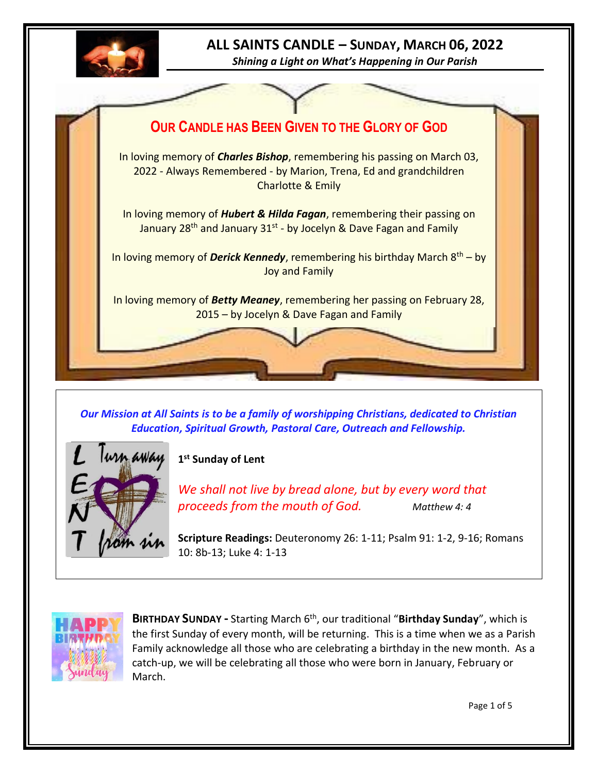

# **ALL SAINTS CANDLE – SUNDAY, MARCH 06, 2022**

*Shining a Light on What's Happening in Our Parish*



*Our Mission at All Saints is to be a family of worshipping Christians, dedicated to Christian Education, Spiritual Growth, Pastoral Care, Outreach and Fellowship.*



**1 st Sunday of Lent**

*We shall not live by bread alone, but by every word that proceeds from the mouth of God. Matthew 4: 4*

**Scripture Readings:** Deuteronomy 26: 1-11; Psalm 91: 1-2, 9-16; Romans 10: 8b-13; Luke 4: 1-13



**BIRTHDAY SUNDAY -** Starting March 6th, our traditional "**Birthday Sunday**", which is the first Sunday of every month, will be returning. This is a time when we as a Parish Family acknowledge all those who are celebrating a birthday in the new month. As a catch-up, we will be celebrating all those who were born in January, February or March.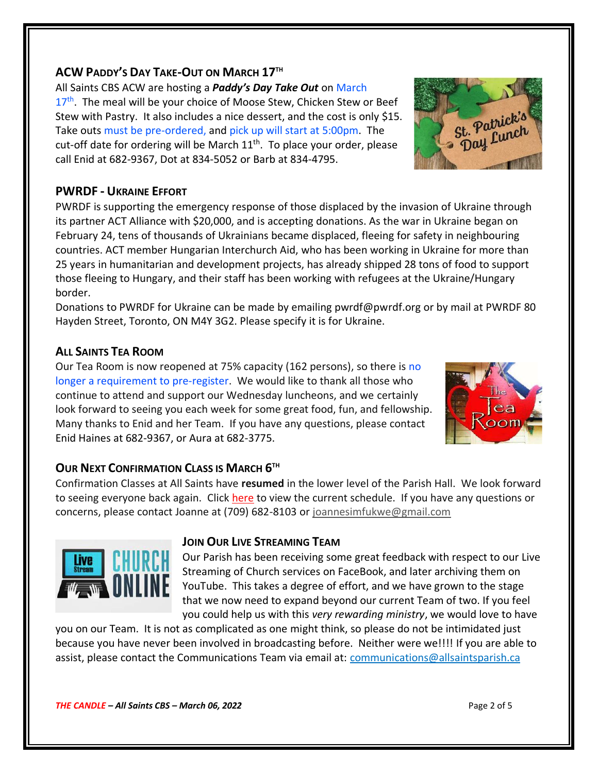## **ACW PADDY'S DAY TAKE-OUT ON MARCH 17TH**

All Saints CBS ACW are hosting a *Paddy's Day Take Out* on March

17<sup>th</sup>. The meal will be your choice of Moose Stew, Chicken Stew or Beef Stew with Pastry. It also includes a nice dessert, and the cost is only \$15. Take outs must be pre-ordered, and pick up will start at 5:00pm. The cut-off date for ordering will be March  $11<sup>th</sup>$ . To place your order, please call Enid at 682-9367, Dot at 834-5052 or Barb at 834-4795.

## **PWRDF - UKRAINE EFFORT**

PWRDF is supporting the emergency response of those displaced by the invasion of Ukraine through its partner ACT Alliance with \$20,000, and is accepting donations. As the war in Ukraine began on February 24, tens of thousands of Ukrainians became displaced, fleeing for safety in neighbouring countries. ACT member Hungarian Interchurch Aid, who has been working in Ukraine for more than 25 years in humanitarian and development projects, has already shipped 28 tons of food to support those fleeing to Hungary, and their staff has been working with refugees at the Ukraine/Hungary border.

Donations to PWRDF for Ukraine can be made by emailing pwrdf@pwrdf.org or by mail at PWRDF 80 Hayden Street, Toronto, ON M4Y 3G2. Please specify it is for Ukraine.

## **ALL SAINTS TEA ROOM**

Our Tea Room is now reopened at 75% capacity (162 persons), so there is no longer a requirement to pre-register. We would like to thank all those who continue to attend and support our Wednesday luncheons, and we certainly look forward to seeing you each week for some great food, fun, and fellowship. Many thanks to Enid and her Team. If you have any questions, please contact Enid Haines at 682-9367, or Aura at 682-3775.

# **OUR NEXT CONFIRMATION CLASS IS MARCH 6 TH**

Confirmation Classes at All Saints have **resumed** in the lower level of the Parish Hall. We look forward to seeing everyone back again. Click [here](http://allsaintsparish.ca/document_library/Confirmation%20Schedule%20220227.pdf) to view the current schedule. If you have any questions or concerns, please contact Joanne at (709) 682-8103 or [joannesimfukwe@gmail.com](mailto:joannesimfukwe@gmail.com)



#### **JOIN OUR LIVE STREAMING TEAM**

Our Parish has been receiving some great feedback with respect to our Live Streaming of Church services on FaceBook, and later archiving them on YouTube. This takes a degree of effort, and we have grown to the stage that we now need to expand beyond our current Team of two. If you feel you could help us with this *very rewarding ministry*, we would love to have

you on our Team. It is not as complicated as one might think, so please do not be intimidated just because you have never been involved in broadcasting before. Neither were we!!!! If you are able to assist, please contact the Communications Team via email at: [communications@allsaintsparish.ca](mailto:communications@allsaintsparish.ca?subject=Live%20Streaming%20Team) 



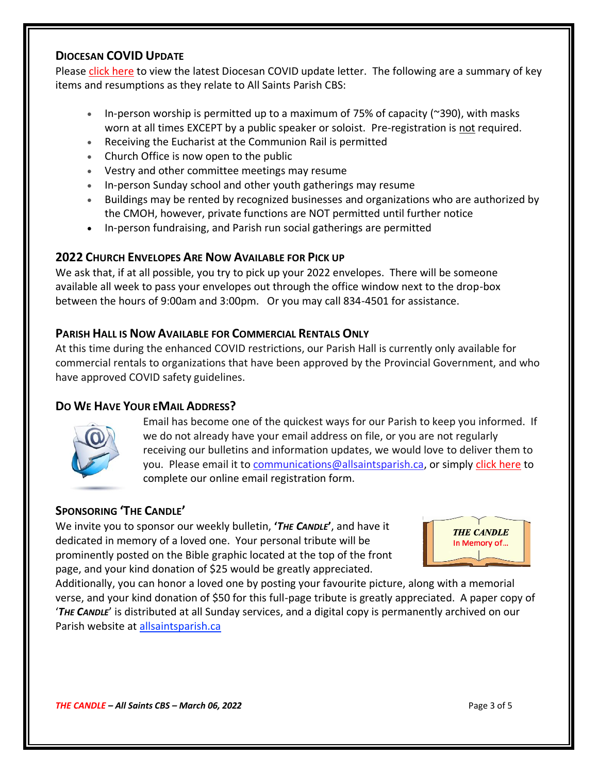#### **DIOCESAN COVID UPDATE**

Please [click here](http://allsaintsparish.ca/document_library/Diocese%20Docs/220218%20Guidelines%2021%20February%202022.pdf) to view the latest Diocesan COVID update letter. The following are a summary of key items and resumptions as they relate to All Saints Parish CBS:

- In-person worship is permitted up to a maximum of 75% of capacity ( $\approx$ 390), with masks worn at all times EXCEPT by a public speaker or soloist. Pre-registration is not required.
- Receiving the Eucharist at the Communion Rail is permitted
- Church Office is now open to the public
- Vestry and other committee meetings may resume
- In-person Sunday school and other youth gatherings may resume
- Buildings may be rented by recognized businesses and organizations who are authorized by the CMOH, however, private functions are NOT permitted until further notice
- In-person fundraising, and Parish run social gatherings are permitted

## **2022 CHURCH ENVELOPES ARE NOW AVAILABLE FOR PICK UP**

We ask that, if at all possible, you try to pick up your 2022 envelopes. There will be someone available all week to pass your envelopes out through the office window next to the drop-box between the hours of 9:00am and 3:00pm. Or you may call 834-4501 for assistance.

#### **PARISH HALL IS NOW AVAILABLE FOR COMMERCIAL RENTALS ONLY**

At this time during the enhanced COVID restrictions, our Parish Hall is currently only available for commercial rentals to organizations that have been approved by the Provincial Government, and who have approved COVID safety guidelines.

## **DO WE HAVE YOUR EMAIL ADDRESS?**



Email has become one of the quickest ways for our Parish to keep you informed. If we do not already have your email address on file, or you are not regularly receiving our bulletins and information updates, we would love to deliver them to you. Please email it to [communications@allsaintsparish.ca,](mailto:communications@allsaintsparish.ca?subject=eMail%20Address%20Update) or simply [click here](http://allsaintsparish.ca/email_updates) to complete our online email registration form.

# **SPONSORING 'THE CANDLE'**

We invite you to sponsor our weekly bulletin, **'***THE CANDLE***'**, and have it dedicated in memory of a loved one. Your personal tribute will be prominently posted on the Bible graphic located at the top of the front page, and your kind donation of \$25 would be greatly appreciated.



Additionally, you can honor a loved one by posting your favourite picture, along with a memorial verse, and your kind donation of \$50 for this full-page tribute is greatly appreciated. A paper copy of '*THE CANDLE*' is distributed at all Sunday services, and a digital copy is permanently archived on our Parish website at [allsaintsparish.ca](http://allsaintsparish.ca/thecandle.html)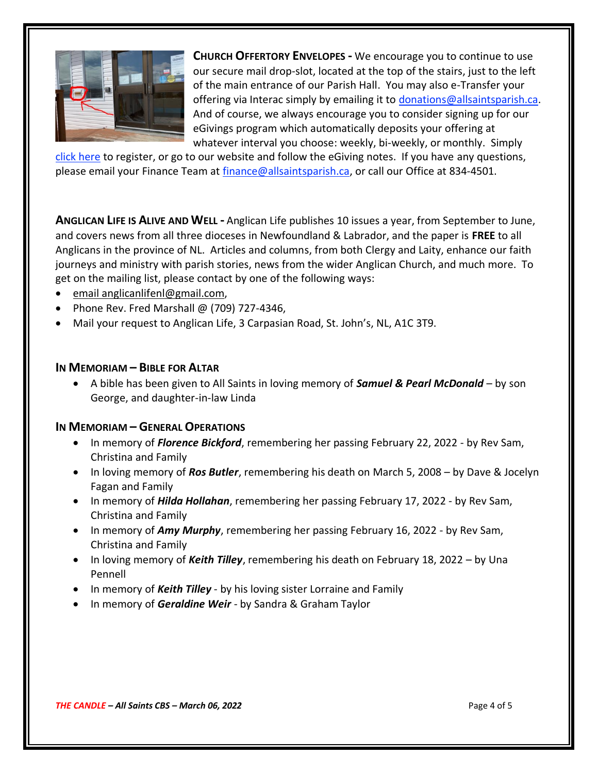

**CHURCH OFFERTORY ENVELOPES -** We encourage you to continue to use our secure mail drop-slot, located at the top of the stairs, just to the left of the main entrance of our Parish Hall. You may also e-Transfer your offering via Interac simply by emailing it to [donations@allsaintsparish.ca.](mailto:donations@allsaintsparish.ca) And of course, we always encourage you to consider signing up for our eGivings program which automatically deposits your offering at whatever interval you choose: weekly, bi-weekly, or monthly. Simply

[click here](http://allsaintsparish.ca/egiving-online-information-form) to register, or go to our website and follow the eGiving notes. If you have [any](https://wfsites-to.websitecreatorprotool.com/870a5dd5.com/Admin/%7BSK_NODEID__22939341__SK%7D) questions, please email your Finance Team at [finance@allsaintsparish.ca,](mailto:finance@allsaintsparish.ca) or call our Office at 834-4501.

**ANGLICAN LIFE IS ALIVE AND WELL -** Anglican Life publishes 10 issues a year, from September to June, and covers news from all three dioceses in Newfoundland & Labrador, and the paper is **FREE** to all Anglicans in the province of NL. Articles and columns, from both Clergy and Laity, enhance our faith journeys and ministry with parish stories, news from the wider Anglican Church, and much more. To get on the mailing list, please contact by one of the following ways:

- [email anglicanlifenl@gmail.com,](mailto:anglicanlifenl@gmail.com)
- Phone Rev. Fred Marshall  $\omega$  (709) 727-4346,
- Mail your request to Anglican Life, 3 Carpasian Road, St. John's, NL, A1C 3T9.

#### **IN MEMORIAM – BIBLE FOR ALTAR**

• A bible has been given to All Saints in loving memory of *Samuel & Pearl McDonald* – by son George, and daughter-in-law Linda

#### **IN MEMORIAM – GENERAL OPERATIONS**

- In memory of *Florence Bickford*, remembering her passing February 22, 2022 by Rev Sam, Christina and Family
- In loving memory of *Ros Butler*, remembering his death on March 5, 2008 by Dave & Jocelyn Fagan and Family
- In memory of *Hilda Hollahan*, remembering her passing February 17, 2022 by Rev Sam, Christina and Family
- In memory of *Amy Murphy*, remembering her passing February 16, 2022 by Rev Sam, Christina and Family
- In loving memory of *Keith Tilley*, remembering his death on February 18, 2022 by Una Pennell
- In memory of *Keith Tilley* by his loving sister Lorraine and Family
- In memory of *Geraldine Weir* by Sandra & Graham Taylor